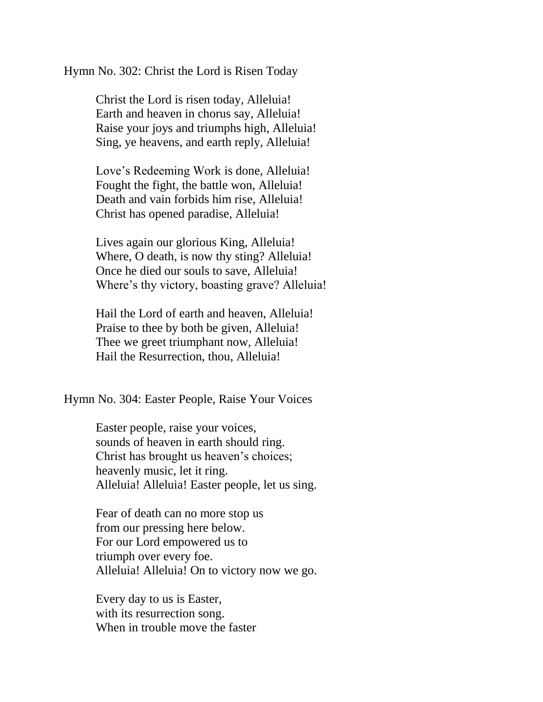Hymn No. 302: Christ the Lord is Risen Today

Christ the Lord is risen today, Alleluia! Earth and heaven in chorus say, Alleluia! Raise your joys and triumphs high, Alleluia! Sing, ye heavens, and earth reply, Alleluia!

Love's Redeeming Work is done, Alleluia! Fought the fight, the battle won, Alleluia! Death and vain forbids him rise, Alleluia! Christ has opened paradise, Alleluia!

Lives again our glorious King, Alleluia! Where, O death, is now thy sting? Alleluia! Once he died our souls to save, Alleluia! Where's thy victory, boasting grave? Alleluia!

Hail the Lord of earth and heaven, Alleluia! Praise to thee by both be given, Alleluia! Thee we greet triumphant now, Alleluia! Hail the Resurrection, thou, Alleluia!

Hymn No. 304: Easter People, Raise Your Voices

Easter people, raise your voices, sounds of heaven in earth should ring. Christ has brought us heaven's choices; heavenly music, let it ring. Alleluia! Alleluia! Easter people, let us sing.

Fear of death can no more stop us from our pressing here below. For our Lord empowered us to triumph over every foe. Alleluia! Alleluia! On to victory now we go.

Every day to us is Easter, with its resurrection song. When in trouble move the faster